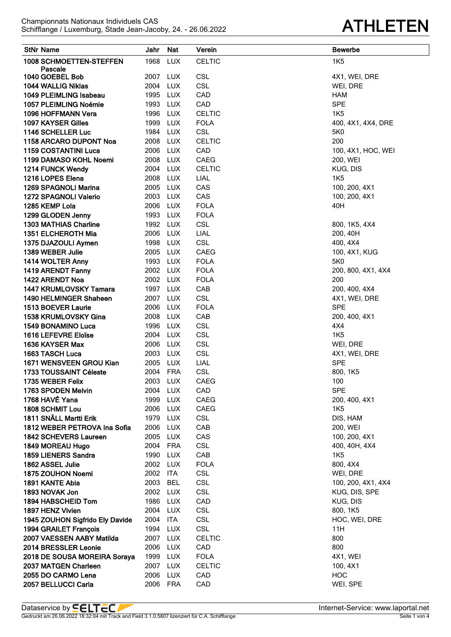## **ATHLETEN**

| <b>StNr Name</b>                                      | Jahr                 | Nat               | Verein                   | <b>Bewerbe</b>         |
|-------------------------------------------------------|----------------------|-------------------|--------------------------|------------------------|
| 1008 SCHMOETTEN-STEFFEN                               | 1968                 | <b>LUX</b>        | <b>CELTIC</b>            | <b>1K5</b>             |
| Pascale                                               |                      |                   |                          |                        |
| 1040 GOEBEL Bob                                       | 2007 LUX             |                   | <b>CSL</b>               | 4X1, WEI, DRE          |
| 1044 WALLIG Niklas                                    | 2004 LUX             |                   | <b>CSL</b>               | WEI, DRE               |
| 1049 PLEIMLING Isabeau                                | 1995 LUX             |                   | CAD                      | <b>HAM</b>             |
| 1057 PLEIMLING Noémie                                 | 1993                 | LUX               | CAD                      | <b>SPE</b>             |
| 1096 HOFFMANN Vera                                    | 1996                 | LUX               | <b>CELTIC</b>            | <b>1K5</b>             |
| 1097 KAYSER Gilles                                    | 1999                 | <b>LUX</b>        | <b>FOLA</b>              | 400, 4X1, 4X4, DRE     |
| 1146 SCHELLER Luc                                     | 1984<br>2008 LUX     | <b>LUX</b>        | <b>CSL</b>               | 5K0<br>200             |
| 1158 ARCARO DUPONT Noa<br><b>1159 COSTANTINI Luca</b> | 2006 LUX             |                   | <b>CELTIC</b><br>CAD     | 100, 4X1, HOC, WEI     |
| 1199 DAMASO KOHL Noemi                                |                      | 2008 LUX          | CAEG                     | 200, WEI               |
| 1214 FUNCK Wendy                                      | 2004 LUX             |                   | <b>CELTIC</b>            | KUG, DIS               |
| 1216 LOPES Elena                                      | 2008 LUX             |                   | LIAL                     | <b>1K5</b>             |
| 1269 SPAGNOLI Marina                                  | 2005 LUX             |                   | CAS                      | 100, 200, 4X1          |
| 1272 SPAGNOLI Valerio                                 | 2003 LUX             |                   | CAS                      | 100, 200, 4X1          |
| 1285 KEMP Lola                                        | 2006 LUX             |                   | <b>FOLA</b>              | 40H                    |
| 1299 GLODEN Jenny                                     |                      | 1993 LUX          | <b>FOLA</b>              |                        |
| 1303 MATHIAS Charline                                 |                      | 1992 LUX          | <b>CSL</b>               | 800, 1K5, 4X4          |
| 1351 ELCHEROTH Mia                                    | 2006 LUX             |                   | LIAL                     | 200, 40H               |
| 1375 DJAZOULI Aymen                                   | 1998 LUX             |                   | CSL                      | 400, 4X4               |
| 1389 WEBER Julie                                      | 2005 LUX             |                   | <b>CAEG</b>              | 100, 4X1, KUG          |
| 1414 WOLTER Anny                                      |                      | 1993 LUX          | <b>FOLA</b>              | 5K0                    |
| 1419 ARENDT Fanny                                     | 2002 LUX             |                   | <b>FOLA</b>              | 200, 800, 4X1, 4X4     |
| 1422 ARENDT Noa                                       |                      | 2002 LUX          | <b>FOLA</b>              | 200                    |
| 1447 KRUMLOVSKY Tamara                                | 1997 LUX             |                   | CAB                      | 200, 400, 4X4          |
| 1490 HELMINGER Shaheen                                | 2007 LUX             |                   | <b>CSL</b>               | 4X1, WEI, DRE          |
| 1513 BOEVER Laurie                                    | 2006 LUX             |                   | <b>FOLA</b>              | <b>SPE</b>             |
| 1538 KRUMLOVSKY Gina                                  | 2008 LUX             |                   | CAB                      | 200, 400, 4X1          |
| 1549 BONAMINO Luca                                    | 1996 LUX<br>2004 LUX |                   | <b>CSL</b><br><b>CSL</b> | 4X4                    |
| 1616 LEFEVRE Eloïse<br>1636 KAYSER Max                | 2006 LUX             |                   | <b>CSL</b>               | <b>1K5</b><br>WEI, DRE |
| 1663 TASCH Luca                                       | 2003 LUX             |                   | <b>CSL</b>               | 4X1, WEI, DRE          |
| 1671 WENSVEEN GROU Kian                               | 2005 LUX             |                   | <b>LIAL</b>              | <b>SPE</b>             |
| 1733 TOUSSAINT Céleste                                | 2004 FRA             |                   | <b>CSL</b>               | 800, 1K5               |
| 1735 WEBER Felix                                      | 2003                 | <b>LUX</b>        | CAEG                     | 100                    |
| 1763 SPODEN Melvin                                    | 2004                 | <b>LUX</b>        | CAD                      | <b>SPE</b>             |
| 1768 HAVÉ Yana                                        | 1999                 | <b>LUX</b>        | CAEG                     | 200, 400, 4X1          |
| 1808 SCHMIT Lou                                       | 2006                 | <b>LUX</b>        | CAEG                     | <b>1K5</b>             |
| 1811 SNÄLL Martti Erik                                | 1979                 | <b>LUX</b>        | <b>CSL</b>               | DIS, HAM               |
| 1812 WEBER PETROVA Ina Sofia                          | 2006                 | <b>LUX</b>        | CAB                      | 200, WEI               |
| <b>1842 SCHEVERS Laureen</b>                          | 2005                 | LUX               | CAS                      | 100, 200, 4X1          |
| 1849 MOREAU Hugo                                      |                      | 2004 FRA          | <b>CSL</b>               | 400, 40H, 4X4          |
| 1859 LIENERS Sandra                                   | 1990                 | LUX               | CAB                      | <b>1K5</b>             |
| 1862 ASSEL Julie                                      |                      | 2002 LUX          | <b>FOLA</b>              | 800, 4X4               |
| 1875 ZOUHON Noemi                                     | 2002 ITA             |                   | <b>CSL</b>               | WEI, DRE               |
| 1891 KANTE Abia                                       | 2003                 | <b>BEL</b>        | <b>CSL</b>               | 100, 200, 4X1, 4X4     |
| 1893 NOVAK Jon                                        | 2002 LUX             |                   | <b>CSL</b>               | KUG, DIS, SPE          |
| 1894 HABSCHEID Tom                                    | 1986 LUX<br>2004     |                   | CAD<br><b>CSL</b>        | KUG, DIS               |
| 1897 HENZ Vivien<br>1945 ZOUHON Sigfrido Ely Davide   | 2004                 | <b>LUX</b><br>ITA | <b>CSL</b>               | 800, 1K5               |
| 1994 GRAILET François                                 |                      | 1994 LUX          | <b>CSL</b>               | HOC, WEI, DRE<br>11H   |
| 2007 VAESSEN AABY Matilda                             | 2007 LUX             |                   | <b>CELTIC</b>            | 800                    |
| 2014 BRESSLER Leonie                                  | 2006 LUX             |                   | CAD                      | 800                    |
| 2018 DE SOUSA MOREIRA Soraya                          | 1999 LUX             |                   | <b>FOLA</b>              | 4X1, WEI               |
| 2037 MATGEN Charleen                                  | 2007 LUX             |                   | <b>CELTIC</b>            | 100, 4X1               |
| 2055 DO CARMO Lena                                    | 2006                 | <b>LUX</b>        | CAD                      | HOC                    |
| 2057 BELLUCCI Carla                                   | 2006 FRA             |                   | CAD                      | WEI, SPE               |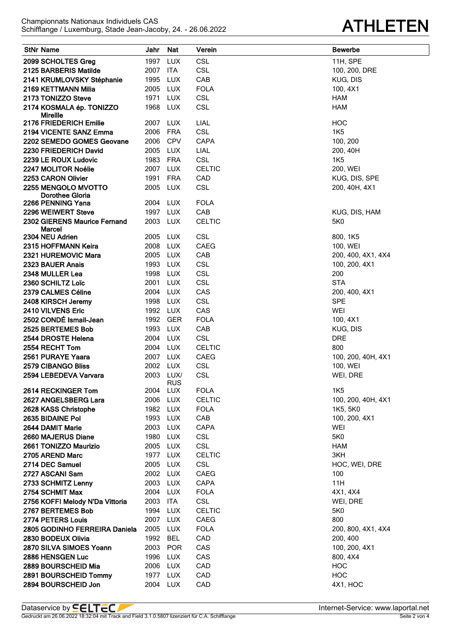| <b>StNr Name</b>                | Jahr                 | Nat                     | Verein        | <b>Bewerbe</b>     |
|---------------------------------|----------------------|-------------------------|---------------|--------------------|
| 2099 SCHOLTES Greg              | 1997                 | <b>LUX</b>              | <b>CSL</b>    | 11H, SPE           |
| 2125 BARBERIS Matilde           | 2007                 | ITA                     | <b>CSL</b>    | 100, 200, DRE      |
| 2141 KRUMLOVSKY Stéphanie       | 1995                 | <b>LUX</b>              | CAB           | KUG, DIS           |
| 2169 KETTMANN Milia             | 2005                 | <b>LUX</b>              | <b>FOLA</b>   | 100, 4X1           |
| 2173 TONIZZO Steve              | 1971                 | <b>LUX</b>              | <b>CSL</b>    | <b>HAM</b>         |
| 2174 KOSMALA ép. TONIZZO        | 1968                 | LUX                     | <b>CSL</b>    | <b>HAM</b>         |
| Mireille                        |                      |                         |               |                    |
| 2176 FRIEDERICH Emilie          | 2007 LUX             |                         | LIAL          | <b>HOC</b>         |
| 2194 VICENTE SANZ Emma          | 2006                 | FRA                     | <b>CSL</b>    | 1K <sub>5</sub>    |
| 2202 SEMEDO GOMES Geovane       | 2006                 | <b>CPV</b>              | <b>CAPA</b>   | 100, 200           |
| 2230 FRIEDERICH David           | 2005                 | LUX                     | LIAL          | 200, 40H           |
| 2239 LE ROUX Ludovic            | 1983                 | <b>FRA</b>              | <b>CSL</b>    | 1K <sub>5</sub>    |
| 2247 MOLITOR Noélie             | 2007                 | <b>LUX</b>              | <b>CELTIC</b> | 200, WEI           |
| 2253 CARON Olivier              | 1991                 | <b>FRA</b>              | CAD           | KUG, DIS, SPE      |
| 2255 MENGOLO MVOTTO             | 2005                 | <b>LUX</b>              | <b>CSL</b>    | 200, 40H, 4X1      |
| Dorothee Gloria                 |                      |                         |               |                    |
| 2266 PENNING Yana               | 2004                 | LUX                     | <b>FOLA</b>   |                    |
| 2296 WEIWERT Steve              | 1997 LUX             |                         | CAB           | KUG, DIS, HAM      |
| 2302 GIERENS Maurice Fernand    | 2003                 | <b>LUX</b>              | <b>CELTIC</b> | 5K0                |
| Marcel<br>2304 NEU Adrien       | 2005                 | <b>LUX</b>              | <b>CSL</b>    | 800, 1K5           |
| 2315 HOFFMANN Keira             | 2008                 | <b>LUX</b>              | <b>CAEG</b>   | 100, WEI           |
| 2321 HUREMOVIC Mara             | 2005                 | <b>LUX</b>              | CAB           | 200, 400, 4X1, 4X4 |
| 2323 BAUER Anais                | 1993                 | <b>LUX</b>              | <b>CSL</b>    | 100, 200, 4X1      |
| 2348 MULLER Lea                 | 1998                 | LUX                     | <b>CSL</b>    | 200                |
| 2360 SCHILTZ Loïc               | 2001                 | <b>LUX</b>              | <b>CSL</b>    | <b>STA</b>         |
|                                 | 2004                 |                         | CAS           |                    |
| 2379 CALMES Céline              | 1998                 | LUX                     | <b>CSL</b>    | 200, 400, 4X1      |
| 2408 KIRSCH Jeremy              |                      | <b>LUX</b>              |               | <b>SPE</b>         |
| 2410 VILVENS Eric               | 1992                 | LUX                     | CAS           | WEI                |
| 2502 CONDÉ Ismail-Jean          | 1992                 | GER                     | <b>FOLA</b>   | 100, 4X1           |
| 2525 BERTEMES Bob               | 1993                 | <b>LUX</b>              | CAB           | KUG, DIS           |
| 2544 DROSTE Helena              | 2004                 | <b>LUX</b>              | <b>CSL</b>    | <b>DRE</b>         |
| 2554 RECHT Tom                  | 2004 LUX<br>2007 LUX |                         | <b>CELTIC</b> | 800                |
| 2561 PURAYE Yaara               |                      |                         | CAEG          | 100, 200, 40H, 4X1 |
| 2579 CIBANGO Bliss              | 2002                 | LUX                     | CSL           | 100, WEI           |
| 2594 LEBEDEVA Varvara           |                      | 2003 LUX/<br><b>RUS</b> | <b>CSL</b>    | WEI, DRE           |
| 2614 RECKINGER Tom              | 2004                 | <b>LUX</b>              | <b>FOLA</b>   | 1K <sub>5</sub>    |
| 2627 ANGELSBERG Lara            | 2006                 | <b>LUX</b>              | <b>CELTIC</b> | 100, 200, 40H, 4X1 |
| 2628 KASS Christophe            | 1982                 | <b>LUX</b>              | <b>FOLA</b>   | 1K5, 5K0           |
| 2635 BIDAINE Pol                | 1993                 | <b>LUX</b>              | CAB           | 100, 200, 4X1      |
| 2644 DAMIT Marie                | 2003                 | <b>LUX</b>              | CAPA          | WEI                |
| 2660 MAJERUS Diane              | 1980                 | <b>LUX</b>              | <b>CSL</b>    | 5K0                |
| 2661 TONIZZO Maurizio           | 2005                 | <b>LUX</b>              | <b>CSL</b>    | <b>HAM</b>         |
| 2705 AREND Marc                 | 1977                 | <b>LUX</b>              | <b>CELTIC</b> | 3KH                |
| 2714 DEC Samuel                 | 2005                 | <b>LUX</b>              | <b>CSL</b>    | HOC, WEI, DRE      |
| 2727 ASCANI Sam                 | 2002                 | LUX                     | <b>CAEG</b>   | 100                |
| 2733 SCHMITZ Lenny              | 2003                 | <b>LUX</b>              | CAPA          | 11H                |
| 2754 SCHMIT Max                 | 2004                 | <b>LUX</b>              | <b>FOLA</b>   | 4X1, 4X4           |
| 2756 KOFFI Melody N'Da Vittoria | 2003                 | ITA                     | <b>CSL</b>    | WEI, DRE           |
| 2767 BERTEMES Bob               | 1994                 | LUX                     | <b>CELTIC</b> | 5K0                |
| 2774 PETERS Louis               | 2007                 | <b>LUX</b>              | CAEG          | 800                |
| 2805 GODINHO FERREIRA Daniela   | 2005                 | <b>LUX</b>              | <b>FOLA</b>   | 200, 800, 4X1, 4X4 |
| 2830 BODEUX Olivia              | 1992                 | BEL                     | CAD           | 200, 400           |
| 2870 SILVA SIMOES Yoann         | 2003                 | <b>POR</b>              | CAS           | 100, 200, 4X1      |
| 2886 HENSGEN Luc                | 1996                 | <b>LUX</b>              | CAS           | 800, 4X4           |
| 2889 BOURSCHEID Mia             | 2006                 | <b>LUX</b>              | CAD           | <b>HOC</b>         |
| 2891 BOURSCHEID Tommy           | 1977                 | <b>LUX</b>              | CAD           | <b>HOC</b>         |
| 2894 BOURSCHEID Jon             | 2004                 | <b>LUX</b>              | CAD           | 4X1, HOC           |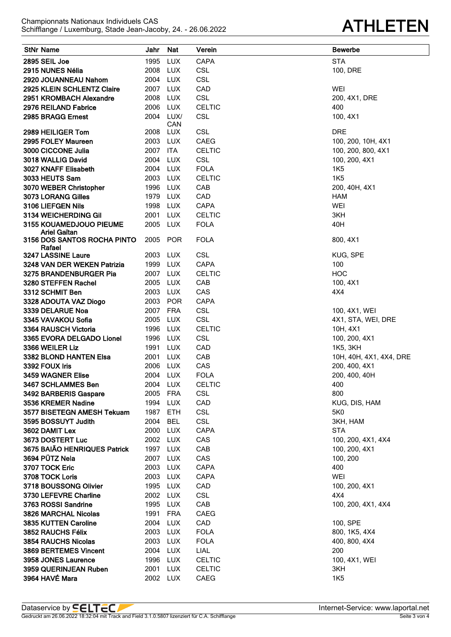## **ATHLETEN**

| <b>StNr Name</b>                             | Jahr                 | Nat               | Verein                         | <b>Bewerbe</b>              |
|----------------------------------------------|----------------------|-------------------|--------------------------------|-----------------------------|
| 2895 SEIL Joe                                | 1995                 | <b>LUX</b>        | CAPA                           | <b>STA</b>                  |
| 2915 NUNES Nélia                             | 2008 LUX             |                   | <b>CSL</b>                     | 100, DRE                    |
| 2920 JOUANNEAU Nahom                         | 2004 LUX             |                   | <b>CSL</b>                     |                             |
| 2925 KLEIN SCHLENTZ Claire                   | 2007 LUX             |                   | CAD                            | WEI                         |
| 2951 KROMBACH Alexandre                      | 2008                 | <b>LUX</b>        | <b>CSL</b>                     | 200, 4X1, DRE               |
| 2976 REILAND Fabrice                         | 2006                 | LUX               | <b>CELTIC</b>                  | 400                         |
| 2985 BRAGG Ernest                            |                      | 2004 LUX/         | <b>CSL</b>                     | 100, 4X1                    |
|                                              |                      | CAN               |                                |                             |
| 2989 HEILIGER Tom                            | 2008                 | <b>LUX</b>        | <b>CSL</b>                     | <b>DRE</b>                  |
| 2995 FOLEY Maureen                           | 2003 LUX             |                   | <b>CAEG</b>                    | 100, 200, 10H, 4X1          |
| 3000 CICCONE Julia                           | 2007                 | ITA               | <b>CELTIC</b>                  | 100, 200, 800, 4X1          |
| 3018 WALLIG David                            | 2004                 | <b>LUX</b>        | <b>CSL</b>                     | 100, 200, 4X1               |
| 3027 KNAFF Elisabeth                         | 2004 LUX<br>2003 LUX |                   | <b>FOLA</b>                    | <b>1K5</b><br><b>1K5</b>    |
| 3033 HEUTS Sam                               | 1996 LUX             |                   | <b>CELTIC</b>                  |                             |
| 3070 WEBER Christopher<br>3073 LORANG Gilles | 1979 LUX             |                   | CAB<br>CAD                     | 200, 40H, 4X1<br><b>HAM</b> |
| 3106 LIEFGEN Nils                            | 1998 LUX             |                   | <b>CAPA</b>                    | <b>WEI</b>                  |
| 3134 WEICHERDING Gil                         | 2001 LUX             |                   | <b>CELTIC</b>                  | 3KH                         |
| 3155 KOUAMEDJOUO PIEUME                      | 2005                 | LUX               | <b>FOLA</b>                    | 40H                         |
| <b>Ariel Gaïtan</b>                          |                      |                   |                                |                             |
| 3156 DOS SANTOS ROCHA PINTO                  | 2005 POR             |                   | <b>FOLA</b>                    | 800, 4X1                    |
| Rafael                                       |                      |                   |                                |                             |
| 3247 LASSINE Laure                           | 2003 LUX             |                   | <b>CSL</b>                     | KUG, SPE                    |
| 3248 VAN DER WEKEN Patrizia                  | 1999 LUX             |                   | <b>CAPA</b>                    | 100                         |
| 3275 BRANDENBURGER Pia                       | 2007 LUX<br>2005 LUX |                   | <b>CELTIC</b>                  | <b>HOC</b>                  |
| 3280 STEFFEN Rachel<br>3312 SCHMIT Ben       | 2003 LUX             |                   | CAB<br>CAS                     | 100, 4X1<br>4X4             |
| 3328 ADOUTA VAZ Diogo                        |                      | 2003 POR          | <b>CAPA</b>                    |                             |
| 3339 DELARUE Noa                             | 2007 FRA             |                   | <b>CSL</b>                     | 100, 4X1, WEI               |
| 3345 VAVAKOU Sofia                           | 2005 LUX             |                   | <b>CSL</b>                     | 4X1, STA, WEI, DRE          |
| 3364 RAUSCH Victoria                         | 1996 LUX             |                   | <b>CELTIC</b>                  | 10H, 4X1                    |
| 3365 EVORA DELGADO Lionel                    | 1996 LUX             |                   | <b>CSL</b>                     | 100, 200, 4X1               |
| 3366 WEILER Liz                              | 1991                 | <b>LUX</b>        | CAD                            | 1K5, 3KH                    |
| 3382 BLOND HANTEN Elsa                       | 2001                 | LUX               | CAB                            | 10H, 40H, 4X1, 4X4, DRE     |
| 3392 FOUX Iris                               | 2006 LUX             |                   | CAS                            | 200, 400, 4X1               |
| 3459 WAGNER Elise                            | 2004 LUX             |                   | <b>FOLA</b>                    | 200, 400, 40H               |
| 3467 SCHLAMMES Ben                           | 2004 LUX             |                   | <b>CELTIC</b>                  | 400                         |
| 3492 BARBERIS Gaspare                        | 2005                 | <b>FRA</b>        | <b>CSL</b>                     | 800                         |
| 3536 KREMER Nadine                           | 1994                 | <b>LUX</b>        | CAD                            | KUG, DIS, HAM               |
| 3577 BISETEGN AMESH Tekuam                   | 1987                 | <b>ETH</b>        | <b>CSL</b>                     | 5K0                         |
| 3595 BOSSUYT Judith                          | 2004                 | BEL               | <b>CSL</b>                     | 3KH, HAM                    |
| 3602 DAMIT Lex                               | 2000                 | <b>LUX</b>        | CAPA                           | <b>STA</b>                  |
| 3673 DOSTERT Luc                             | 2002 LUX             |                   | CAS                            | 100, 200, 4X1, 4X4          |
| 3675 BAIÃO HENRIQUES Patrick                 | 1997                 | <b>LUX</b>        | CAB                            | 100, 200, 4X1               |
| 3694 PÜTZ Nela                               | 2007                 | LUX               | CAS                            | 100, 200                    |
| 3707 TOCK Eric                               | 2003                 | LUX               | CAPA                           | 400                         |
| 3708 TOCK Loris                              | 2003 LUX             |                   | <b>CAPA</b>                    | WEI                         |
| 3718 BOUSSONG Olivier                        | 1995 LUX             |                   | CAD                            | 100, 200, 4X1               |
| 3730 LEFEVRE Charline                        | 2002 LUX             |                   | <b>CSL</b>                     | 4X4                         |
| 3763 ROSSI Sandrine                          | 1995                 | LUX               | CAB                            | 100, 200, 4X1, 4X4          |
| 3826 MARCHAL Nicolas                         | 1991                 | FRA               | CAEG                           |                             |
| 3835 KUTTEN Caroline                         | 2004                 | LUX               | CAD                            | 100, SPE                    |
| 3852 RAUCHS Félix                            | 2003 LUX             |                   | <b>FOLA</b>                    | 800, 1K5, 4X4               |
| 3854 RAUCHS Nicolas                          | 2003 LUX             |                   | <b>FOLA</b>                    | 400, 800, 4X4               |
| 3869 BERTEMES Vincent                        | 2004 LUX             |                   | LIAL                           | 200                         |
| 3958 JONES Laurence                          | 1996<br>2001         | LUX<br><b>LUX</b> | <b>CELTIC</b><br><b>CELTIC</b> | 100, 4X1, WEI<br>3KH        |
| 3959 QUERINJEAN Ruben<br>3964 HAVÉ Mara      |                      |                   |                                |                             |
|                                              | 2002 LUX             |                   | CAEG                           | <b>1K5</b>                  |